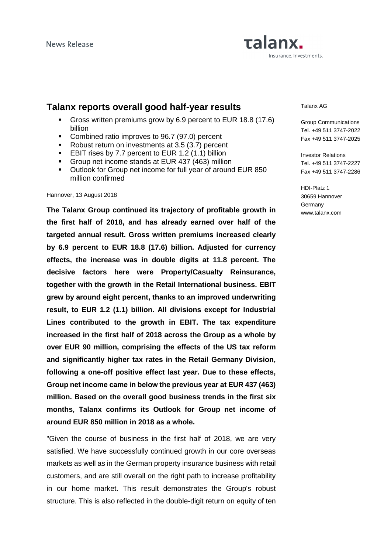# Talanx. Insurance. Investments.

# **Talanx reports overall good half-year results**

- Gross written premiums grow by 6.9 percent to EUR 18.8 (17.6) billion
- Combined ratio improves to 96.7 (97.0) percent
- Robust return on investments at 3.5 (3.7) percent
- **EBIT rises by 7.7 percent to EUR 1.2 (1.1) billion**
- Group net income stands at EUR 437 (463) million
- Outlook for Group net income for full year of around EUR 850 million confirmed

#### Hannover, 13 August 2018

**The Talanx Group continued its trajectory of profitable growth in the first half of 2018, and has already earned over half of the targeted annual result. Gross written premiums increased clearly by 6.9 percent to EUR 18.8 (17.6) billion. Adjusted for currency effects, the increase was in double digits at 11.8 percent. The decisive factors here were Property/Casualty Reinsurance, together with the growth in the Retail International business. EBIT grew by around eight percent, thanks to an improved underwriting result, to EUR 1.2 (1.1) billion. All divisions except for Industrial Lines contributed to the growth in EBIT. The tax expenditure increased in the first half of 2018 across the Group as a whole by over EUR 90 million, comprising the effects of the US tax reform and significantly higher tax rates in the Retail Germany Division, following a one-off positive effect last year. Due to these effects, Group net income came in below the previous year at EUR 437 (463) million. Based on the overall good business trends in the first six months, Talanx confirms its Outlook for Group net income of around EUR 850 million in 2018 as a whole.** 

"Given the course of business in the first half of 2018, we are very satisfied. We have successfully continued growth in our core overseas markets as well as in the German property insurance business with retail customers, and are still overall on the right path to increase profitability in our home market. This result demonstrates the Group's robust structure. This is also reflected in the double-digit return on equity of ten

#### Talanx AG

Group Communications Tel. +49 511 3747-2022 Fax +49 511 3747-2025

Investor Relations Tel. +49 511 3747-2227 Fax +49 511 3747-2286

HDI-Platz 1 30659 Hannover **Germany** www.talanx.com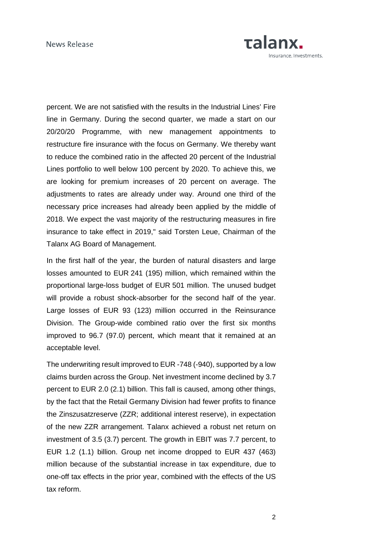

percent. We are not satisfied with the results in the Industrial Lines' Fire line in Germany. During the second quarter, we made a start on our 20/20/20 Programme, with new management appointments to restructure fire insurance with the focus on Germany. We thereby want to reduce the combined ratio in the affected 20 percent of the Industrial Lines portfolio to well below 100 percent by 2020. To achieve this, we are looking for premium increases of 20 percent on average. The adjustments to rates are already under way. Around one third of the necessary price increases had already been applied by the middle of 2018. We expect the vast majority of the restructuring measures in fire insurance to take effect in 2019," said Torsten Leue, Chairman of the Talanx AG Board of Management.

In the first half of the year, the burden of natural disasters and large losses amounted to EUR 241 (195) million, which remained within the proportional large-loss budget of EUR 501 million. The unused budget will provide a robust shock-absorber for the second half of the year. Large losses of EUR 93 (123) million occurred in the Reinsurance Division. The Group-wide combined ratio over the first six months improved to 96.7 (97.0) percent, which meant that it remained at an acceptable level.

The underwriting result improved to EUR -748 (-940), supported by a low claims burden across the Group. Net investment income declined by 3.7 percent to EUR 2.0 (2.1) billion. This fall is caused, among other things, by the fact that the Retail Germany Division had fewer profits to finance the Zinszusatzreserve (ZZR; additional interest reserve), in expectation of the new ZZR arrangement. Talanx achieved a robust net return on investment of 3.5 (3.7) percent. The growth in EBIT was 7.7 percent, to EUR 1.2 (1.1) billion. Group net income dropped to EUR 437 (463) million because of the substantial increase in tax expenditure, due to one-off tax effects in the prior year, combined with the effects of the US tax reform.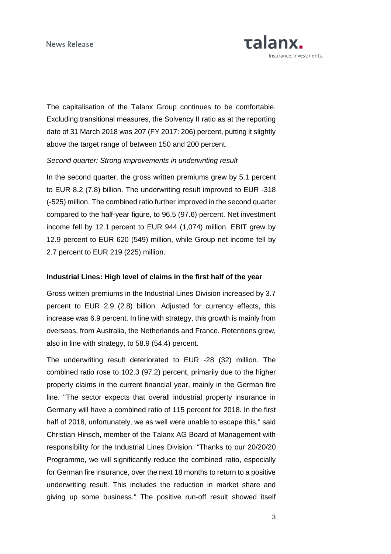

The capitalisation of the Talanx Group continues to be comfortable. Excluding transitional measures, the Solvency II ratio as at the reporting date of 31 March 2018 was 207 (FY 2017: 206) percent, putting it slightly above the target range of between 150 and 200 percent.

## Second quarter: Strong improvements in underwriting result

In the second quarter, the gross written premiums grew by 5.1 percent to EUR 8.2 (7.8) billion. The underwriting result improved to EUR -318 (-525) million. The combined ratio further improved in the second quarter compared to the half-year figure, to 96.5 (97.6) percent. Net investment income fell by 12.1 percent to EUR 944 (1,074) million. EBIT grew by 12.9 percent to EUR 620 (549) million, while Group net income fell by 2.7 percent to EUR 219 (225) million.

# **Industrial Lines: High level of claims in the first half of the year**

Gross written premiums in the Industrial Lines Division increased by 3.7 percent to EUR 2.9 (2.8) billion. Adjusted for currency effects, this increase was 6.9 percent. In line with strategy, this growth is mainly from overseas, from Australia, the Netherlands and France. Retentions grew, also in line with strategy, to 58.9 (54.4) percent.

The underwriting result deteriorated to EUR -28 (32) million. The combined ratio rose to 102.3 (97.2) percent, primarily due to the higher property claims in the current financial year, mainly in the German fire line. "The sector expects that overall industrial property insurance in Germany will have a combined ratio of 115 percent for 2018. In the first half of 2018, unfortunately, we as well were unable to escape this," said Christian Hinsch, member of the Talanx AG Board of Management with responsibility for the Industrial Lines Division. "Thanks to our 20/20/20 Programme, we will significantly reduce the combined ratio, especially for German fire insurance, over the next 18 months to return to a positive underwriting result. This includes the reduction in market share and giving up some business." The positive run-off result showed itself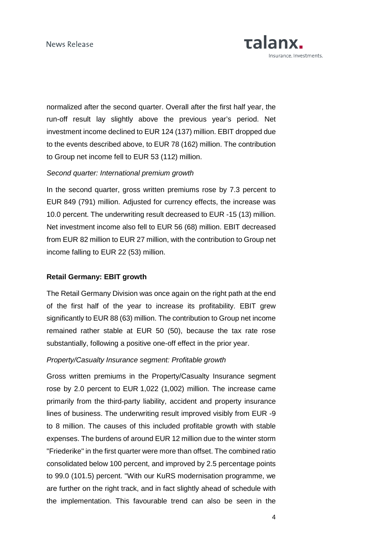

normalized after the second quarter. Overall after the first half year, the run-off result lay slightly above the previous year's period. Net investment income declined to EUR 124 (137) million. EBIT dropped due to the events described above, to EUR 78 (162) million. The contribution to Group net income fell to EUR 53 (112) million.

# Second quarter: International premium growth

In the second quarter, gross written premiums rose by 7.3 percent to EUR 849 (791) million. Adjusted for currency effects, the increase was 10.0 percent. The underwriting result decreased to EUR -15 (13) million. Net investment income also fell to EUR 56 (68) million. EBIT decreased from EUR 82 million to EUR 27 million, with the contribution to Group net income falling to EUR 22 (53) million.

#### **Retail Germany: EBIT growth**

The Retail Germany Division was once again on the right path at the end of the first half of the year to increase its profitability. EBIT grew significantly to EUR 88 (63) million. The contribution to Group net income remained rather stable at EUR 50 (50), because the tax rate rose substantially, following a positive one-off effect in the prior year.

# Property/Casualty Insurance segment: Profitable growth

Gross written premiums in the Property/Casualty Insurance segment rose by 2.0 percent to EUR 1,022 (1,002) million. The increase came primarily from the third-party liability, accident and property insurance lines of business. The underwriting result improved visibly from EUR -9 to 8 million. The causes of this included profitable growth with stable expenses. The burdens of around EUR 12 million due to the winter storm "Friederike" in the first quarter were more than offset. The combined ratio consolidated below 100 percent, and improved by 2.5 percentage points to 99.0 (101.5) percent. "With our KuRS modernisation programme, we are further on the right track, and in fact slightly ahead of schedule with the implementation. This favourable trend can also be seen in the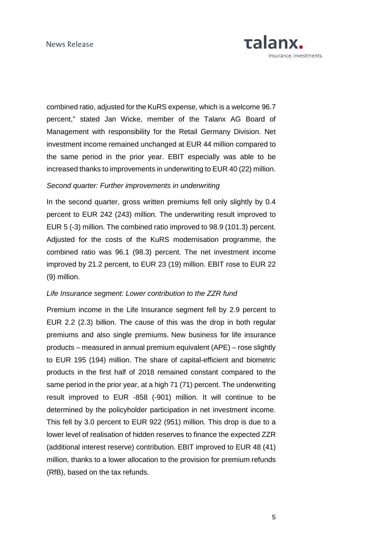

combined ratio, adjusted for the KuRS expense, which is a welcome 96.7 percent," stated Jan Wicke, member of the Talanx AG Board of Management with responsibility for the Retail Germany Division. Net investment income remained unchanged at EUR 44 million compared to the same period in the prior year. EBIT especially was able to be increased thanks to improvements in underwriting to EUR 40 (22) million.

# Second quarter: Further improvements in underwriting

In the second quarter, gross written premiums fell only slightly by 0.4 percent to EUR 242 (243) million. The underwriting result improved to EUR 5 (-3) million. The combined ratio improved to 98.9 (101.3) percent. Adjusted for the costs of the KuRS modernisation programme, the combined ratio was 96.1 (98.3) percent. The net investment income improved by 21.2 percent, to EUR 23 (19) million. EBIT rose to EUR 22 (9) million.

#### Life Insurance segment: Lower contribution to the ZZR fund

Premium income in the Life Insurance segment fell by 2.9 percent to EUR 2.2 (2.3) billion. The cause of this was the drop in both regular premiums and also single premiums. New business for life insurance products – measured in annual premium equivalent (APE) – rose slightly to EUR 195 (194) million. The share of capital-efficient and biometric products in the first half of 2018 remained constant compared to the same period in the prior year, at a high 71 (71) percent. The underwriting result improved to EUR -858 (-901) million. It will continue to be determined by the policyholder participation in net investment income. This fell by 3.0 percent to EUR 922 (951) million. This drop is due to a lower level of realisation of hidden reserves to finance the expected ZZR (additional interest reserve) contribution. EBIT improved to EUR 48 (41) million, thanks to a lower allocation to the provision for premium refunds (RfB), based on the tax refunds.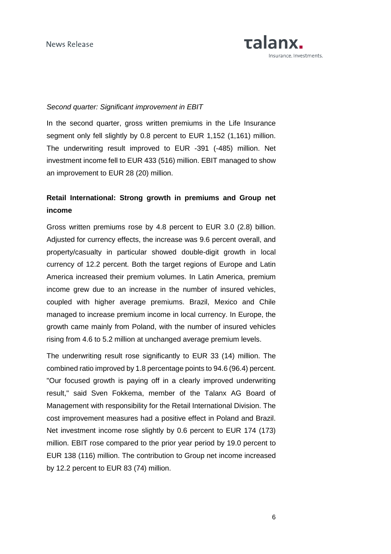

# Second quarter: Significant improvement in EBIT

In the second quarter, gross written premiums in the Life Insurance segment only fell slightly by 0.8 percent to EUR 1,152 (1,161) million. The underwriting result improved to EUR -391 (-485) million. Net investment income fell to EUR 433 (516) million. EBIT managed to show an improvement to EUR 28 (20) million.

# **Retail International: Strong growth in premiums and Group net income**

Gross written premiums rose by 4.8 percent to EUR 3.0 (2.8) billion. Adjusted for currency effects, the increase was 9.6 percent overall, and property/casualty in particular showed double-digit growth in local currency of 12.2 percent. Both the target regions of Europe and Latin America increased their premium volumes. In Latin America, premium income grew due to an increase in the number of insured vehicles, coupled with higher average premiums. Brazil, Mexico and Chile managed to increase premium income in local currency. In Europe, the growth came mainly from Poland, with the number of insured vehicles rising from 4.6 to 5.2 million at unchanged average premium levels.

The underwriting result rose significantly to EUR 33 (14) million. The combined ratio improved by 1.8 percentage points to 94.6 (96.4) percent. "Our focused growth is paying off in a clearly improved underwriting result," said Sven Fokkema, member of the Talanx AG Board of Management with responsibility for the Retail International Division. The cost improvement measures had a positive effect in Poland and Brazil. Net investment income rose slightly by 0.6 percent to EUR 174 (173) million. EBIT rose compared to the prior year period by 19.0 percent to EUR 138 (116) million. The contribution to Group net income increased by 12.2 percent to EUR 83 (74) million.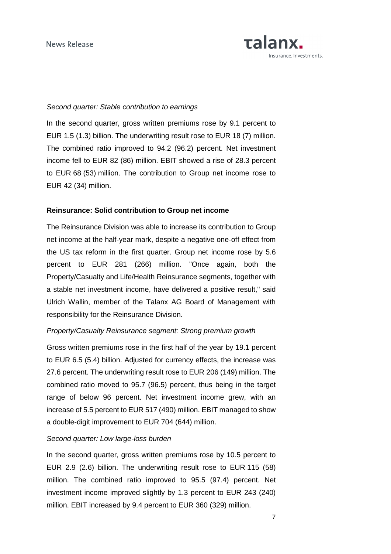

# Second quarter: Stable contribution to earnings

In the second quarter, gross written premiums rose by 9.1 percent to EUR 1.5 (1.3) billion. The underwriting result rose to EUR 18 (7) million. The combined ratio improved to 94.2 (96.2) percent. Net investment income fell to EUR 82 (86) million. EBIT showed a rise of 28.3 percent to EUR 68 (53) million. The contribution to Group net income rose to EUR 42 (34) million.

#### **Reinsurance: Solid contribution to Group net income**

The Reinsurance Division was able to increase its contribution to Group net income at the half-year mark, despite a negative one-off effect from the US tax reform in the first quarter. Group net income rose by 5.6 percent to EUR 281 (266) million. "Once again, both the Property/Casualty and Life/Health Reinsurance segments, together with a stable net investment income, have delivered a positive result," said Ulrich Wallin, member of the Talanx AG Board of Management with responsibility for the Reinsurance Division.

## Property/Casualty Reinsurance segment: Strong premium growth

Gross written premiums rose in the first half of the year by 19.1 percent to EUR 6.5 (5.4) billion. Adjusted for currency effects, the increase was 27.6 percent. The underwriting result rose to EUR 206 (149) million. The combined ratio moved to 95.7 (96.5) percent, thus being in the target range of below 96 percent. Net investment income grew, with an increase of 5.5 percent to EUR 517 (490) million. EBIT managed to show a double-digit improvement to EUR 704 (644) million.

# Second quarter: Low large-loss burden

In the second quarter, gross written premiums rose by 10.5 percent to EUR 2.9 (2.6) billion. The underwriting result rose to EUR 115 (58) million. The combined ratio improved to 95.5 (97.4) percent. Net investment income improved slightly by 1.3 percent to EUR 243 (240) million. EBIT increased by 9.4 percent to EUR 360 (329) million.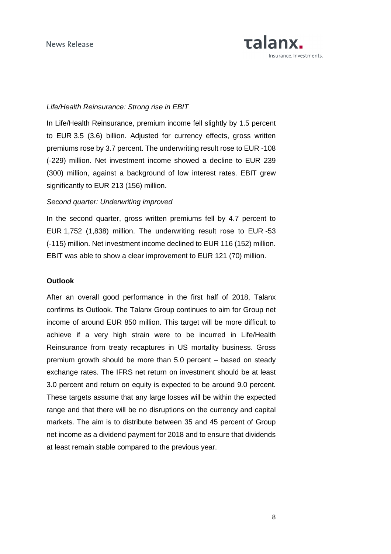

# Life/Health Reinsurance: Strong rise in EBIT

In Life/Health Reinsurance, premium income fell slightly by 1.5 percent to EUR 3.5 (3.6) billion. Adjusted for currency effects, gross written premiums rose by 3.7 percent. The underwriting result rose to EUR -108 (-229) million. Net investment income showed a decline to EUR 239 (300) million, against a background of low interest rates. EBIT grew significantly to EUR 213 (156) million.

# Second quarter: Underwriting improved

In the second quarter, gross written premiums fell by 4.7 percent to EUR 1,752 (1,838) million. The underwriting result rose to EUR -53 (-115) million. Net investment income declined to EUR 116 (152) million. EBIT was able to show a clear improvement to EUR 121 (70) million.

# **Outlook**

After an overall good performance in the first half of 2018, Talanx confirms its Outlook. The Talanx Group continues to aim for Group net income of around EUR 850 million. This target will be more difficult to achieve if a very high strain were to be incurred in Life/Health Reinsurance from treaty recaptures in US mortality business. Gross premium growth should be more than 5.0 percent – based on steady exchange rates. The IFRS net return on investment should be at least 3.0 percent and return on equity is expected to be around 9.0 percent. These targets assume that any large losses will be within the expected range and that there will be no disruptions on the currency and capital markets. The aim is to distribute between 35 and 45 percent of Group net income as a dividend payment for 2018 and to ensure that dividends at least remain stable compared to the previous year.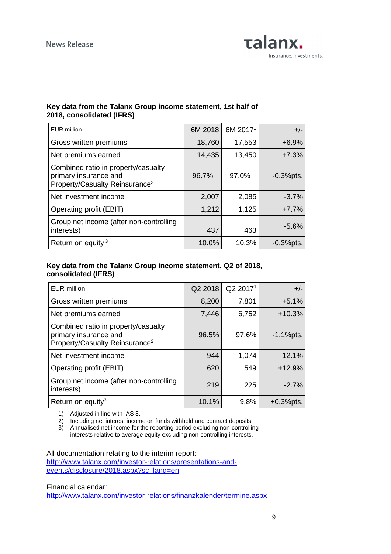

# **Key data from the Talanx Group income statement, 1st half of 2018, consolidated (IFRS)**

| <b>EUR</b> million                                                                                         | 6M 2018 | 6M 2017 <sup>1</sup> | $+/-$        |
|------------------------------------------------------------------------------------------------------------|---------|----------------------|--------------|
| Gross written premiums                                                                                     | 18,760  | 17,553               | $+6.9%$      |
| Net premiums earned                                                                                        | 14,435  | 13,450               | $+7.3%$      |
| Combined ratio in property/casualty<br>primary insurance and<br>Property/Casualty Reinsurance <sup>2</sup> | 96.7%   | 97.0%                | $-0.3%$ pts. |
| Net investment income                                                                                      | 2,007   | 2,085                | $-3.7%$      |
| Operating profit (EBIT)                                                                                    | 1,212   | 1,125                | $+7.7%$      |
| Group net income (after non-controlling<br>interests)                                                      | 437     | 463                  | $-5.6%$      |
| Return on equity <sup>3</sup>                                                                              | 10.0%   | 10.3%                | $-0.3%$ pts. |

# **Key data from the Talanx Group income statement, Q2 of 2018, consolidated (IFRS)**

| EUR million                                                                                                | Q2 2018 | Q2 2017 <sup>1</sup> | $+/-$        |
|------------------------------------------------------------------------------------------------------------|---------|----------------------|--------------|
| Gross written premiums                                                                                     | 8,200   | 7,801                | $+5.1%$      |
| Net premiums earned                                                                                        | 7,446   | 6,752                | $+10.3%$     |
| Combined ratio in property/casualty<br>primary insurance and<br>Property/Casualty Reinsurance <sup>2</sup> | 96.5%   | 97.6%                | $-1.1%$ pts. |
| Net investment income                                                                                      | 944     | 1,074                | $-12.1%$     |
| Operating profit (EBIT)                                                                                    | 620     | 549                  | $+12.9%$     |
| Group net income (after non-controlling<br>interests)                                                      | 219     | 225                  | $-2.7%$      |
| Return on equity <sup>3</sup>                                                                              | 10.1%   | 9.8%                 | $+0.3%$ pts. |

1) Adjusted in line with IAS 8.

2) Including net interest income on funds withheld and contract deposits

3) Annualised net income for the reporting period excluding non-controlling interests relative to average equity excluding non-controlling interests.

All documentation relating to the interim report:

http://www.talanx.com/investor-relations/presentations-andevents/disclosure/2018.aspx?sc\_lang=en

Financial calendar:

http://www.talanx.com/investor-relations/finanzkalender/termine.aspx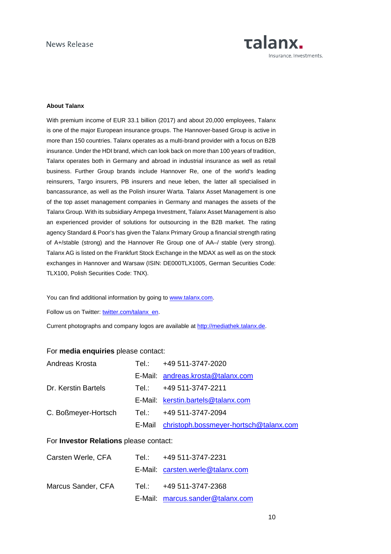

#### **About Talanx**

With premium income of EUR 33.1 billion (2017) and about 20,000 employees, Talanx is one of the major European insurance groups. The Hannover-based Group is active in more than 150 countries. Talanx operates as a multi-brand provider with a focus on B2B insurance. Under the HDI brand, which can look back on more than 100 years of tradition, Talanx operates both in Germany and abroad in industrial insurance as well as retail business. Further Group brands include Hannover Re, one of the world's leading reinsurers, Targo insurers, PB insurers and neue leben, the latter all specialised in bancassurance, as well as the Polish insurer Warta. Talanx Asset Management is one of the top asset management companies in Germany and manages the assets of the Talanx Group. With its subsidiary Ampega Investment, Talanx Asset Management is also an experienced provider of solutions for outsourcing in the B2B market. The rating agency Standard & Poor's has given the Talanx Primary Group a financial strength rating of A+/stable (strong) and the Hannover Re Group one of AA–/ stable (very strong). Talanx AG is listed on the Frankfurt Stock Exchange in the MDAX as well as on the stock exchanges in Hannover and Warsaw (ISIN: DE000TLX1005, German Securities Code: TLX100, Polish Securities Code: TNX).

You can find additional information by going to www.talanx.com.

Follow us on Twitter: twitter.com/talanx\_en.

Current photographs and company logos are available at http://mediathek.talanx.de.

#### For **media enquiries** please contact:

| Andreas Krosta      | Tel.: +49 511-3747-2020                       |
|---------------------|-----------------------------------------------|
|                     | E-Mail: andreas.krosta@talanx.com             |
| Dr. Kerstin Bartels | Tel.: +49 511-3747-2211                       |
|                     | E-Mail: kerstin.bartels@talanx.com            |
| C. Boßmeyer-Hortsch | Tel.:        +49 511-3747-2094                |
|                     | E-Mail christoph.bossmeyer-hortsch@talanx.com |

#### For **Investor Relations** please contact:

| Carsten Werle, CFA | Tel.: +49 511-3747-2231          |
|--------------------|----------------------------------|
|                    | E-Mail: carsten.werle@talanx.com |
| Marcus Sander, CFA | Tel.: +49 511-3747-2368          |
|                    | E-Mail: marcus.sander@talanx.com |